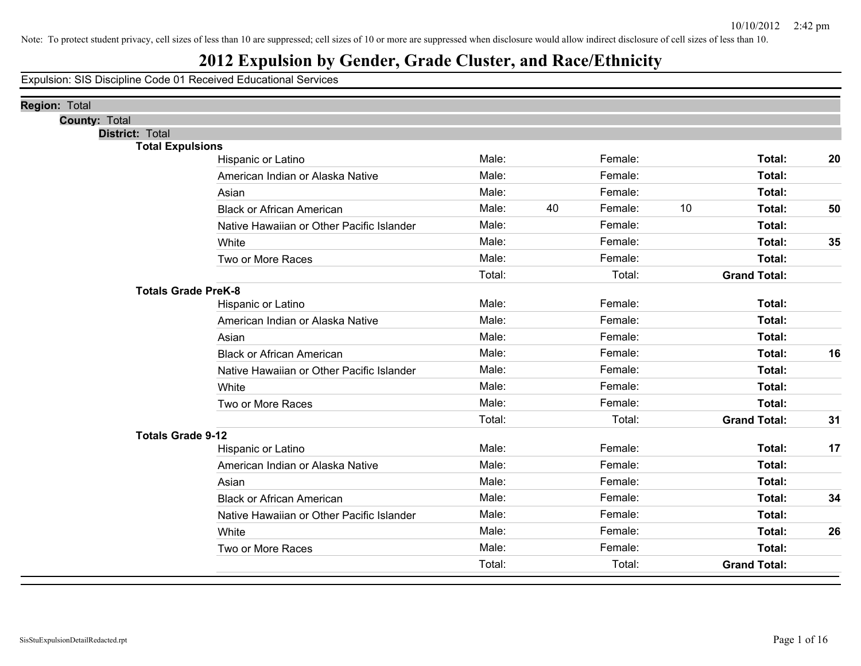# **2012 Expulsion by Gender, Grade Cluster, and Race/Ethnicity**

| <b>Region: Total</b>       |                                           |        |    |         |    |                     |    |
|----------------------------|-------------------------------------------|--------|----|---------|----|---------------------|----|
| <b>County: Total</b>       |                                           |        |    |         |    |                     |    |
| <b>District: Total</b>     |                                           |        |    |         |    |                     |    |
| <b>Total Expulsions</b>    |                                           |        |    |         |    |                     |    |
|                            | Hispanic or Latino                        | Male:  |    | Female: |    | Total:              | 20 |
|                            | American Indian or Alaska Native          | Male:  |    | Female: |    | Total:              |    |
|                            | Asian                                     | Male:  |    | Female: |    | Total:              |    |
|                            | <b>Black or African American</b>          | Male:  | 40 | Female: | 10 | Total:              | 50 |
|                            | Native Hawaiian or Other Pacific Islander | Male:  |    | Female: |    | Total:              |    |
|                            | White                                     | Male:  |    | Female: |    | Total:              | 35 |
|                            | Two or More Races                         | Male:  |    | Female: |    | Total:              |    |
|                            |                                           | Total: |    | Total:  |    | <b>Grand Total:</b> |    |
| <b>Totals Grade PreK-8</b> |                                           |        |    |         |    |                     |    |
|                            | Hispanic or Latino                        | Male:  |    | Female: |    | Total:              |    |
|                            | American Indian or Alaska Native          | Male:  |    | Female: |    | Total:              |    |
|                            | Asian                                     | Male:  |    | Female: |    | Total:              |    |
|                            | <b>Black or African American</b>          | Male:  |    | Female: |    | Total:              | 16 |
|                            | Native Hawaiian or Other Pacific Islander | Male:  |    | Female: |    | Total:              |    |
|                            | White                                     | Male:  |    | Female: |    | Total:              |    |
|                            | Two or More Races                         | Male:  |    | Female: |    | <b>Total:</b>       |    |
|                            |                                           | Total: |    | Total:  |    | <b>Grand Total:</b> | 31 |
| <b>Totals Grade 9-12</b>   |                                           |        |    |         |    |                     |    |
|                            | Hispanic or Latino                        | Male:  |    | Female: |    | Total:              | 17 |
|                            | American Indian or Alaska Native          | Male:  |    | Female: |    | Total:              |    |
|                            | Asian                                     | Male:  |    | Female: |    | Total:              |    |
|                            | <b>Black or African American</b>          | Male:  |    | Female: |    | Total:              | 34 |
|                            | Native Hawaiian or Other Pacific Islander | Male:  |    | Female: |    | Total:              |    |
|                            | White                                     | Male:  |    | Female: |    | Total:              | 26 |
|                            | Two or More Races                         | Male:  |    | Female: |    | Total:              |    |
|                            |                                           | Total: |    | Total:  |    | <b>Grand Total:</b> |    |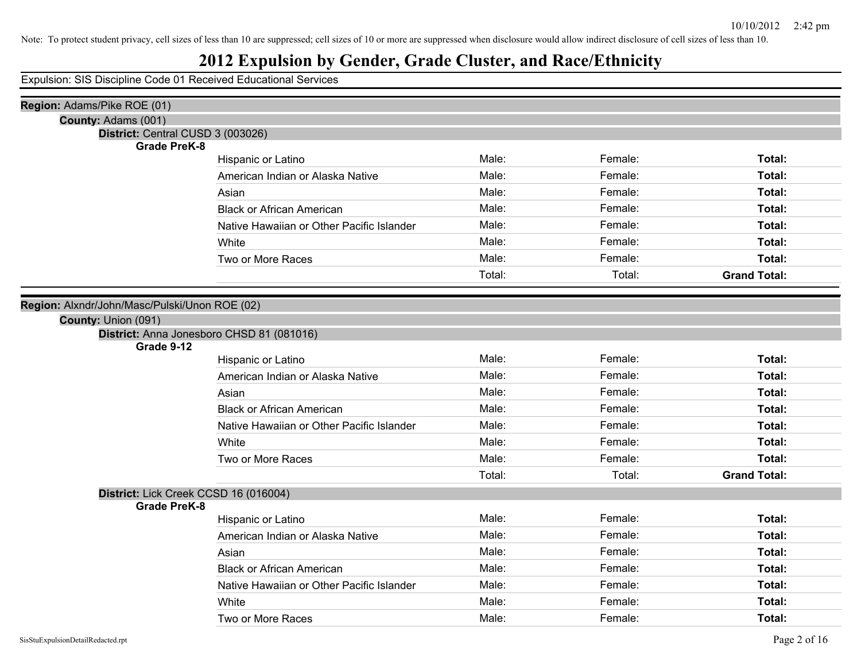# **2012 Expulsion by Gender, Grade Cluster, and Race/Ethnicity**

| Region: Adams/Pike ROE (01)                                  |                                           |        |         |                     |
|--------------------------------------------------------------|-------------------------------------------|--------|---------|---------------------|
| County: Adams (001)                                          |                                           |        |         |                     |
| District: Central CUSD 3 (003026)                            |                                           |        |         |                     |
| <b>Grade PreK-8</b>                                          |                                           | Male:  | Female: | Total:              |
|                                                              | Hispanic or Latino                        |        |         |                     |
|                                                              | American Indian or Alaska Native          | Male:  | Female: | Total:              |
|                                                              | Asian                                     | Male:  | Female: | Total:              |
|                                                              | <b>Black or African American</b>          | Male:  | Female: | Total:              |
|                                                              | Native Hawaiian or Other Pacific Islander | Male:  | Female: | Total:              |
|                                                              | White                                     | Male:  | Female: | Total:              |
|                                                              | Two or More Races                         | Male:  | Female: | Total:              |
|                                                              |                                           | Total: | Total:  | <b>Grand Total:</b> |
|                                                              |                                           |        |         |                     |
| Region: Alxndr/John/Masc/Pulski/Unon ROE (02)                |                                           |        |         |                     |
| County: Union (091)                                          |                                           |        |         |                     |
| Grade 9-12                                                   | District: Anna Jonesboro CHSD 81 (081016) |        |         |                     |
|                                                              | Hispanic or Latino                        | Male:  | Female: | Total:              |
|                                                              | American Indian or Alaska Native          | Male:  | Female: | Total:              |
|                                                              | Asian                                     | Male:  | Female: | Total:              |
|                                                              | <b>Black or African American</b>          | Male:  | Female: | Total:              |
|                                                              | Native Hawaiian or Other Pacific Islander | Male:  | Female: | Total:              |
|                                                              | White                                     | Male:  | Female: | Total:              |
|                                                              |                                           | Male:  | Female: |                     |
|                                                              | Two or More Races                         |        |         | Total:              |
|                                                              |                                           | Total: | Total:  | <b>Grand Total:</b> |
| District: Lick Creek CCSD 16 (016004)<br><b>Grade PreK-8</b> |                                           |        |         |                     |
|                                                              | Hispanic or Latino                        | Male:  | Female: | Total:              |
|                                                              | American Indian or Alaska Native          | Male:  | Female: | Total:              |
|                                                              | Asian                                     | Male:  | Female: | Total:              |
|                                                              | <b>Black or African American</b>          | Male:  | Female: | Total:              |
|                                                              | Native Hawaiian or Other Pacific Islander | Male:  | Female: | Total:              |
|                                                              | White                                     | Male:  | Female: | Total:              |
|                                                              | Two or More Races                         | Male:  | Female: | Total:              |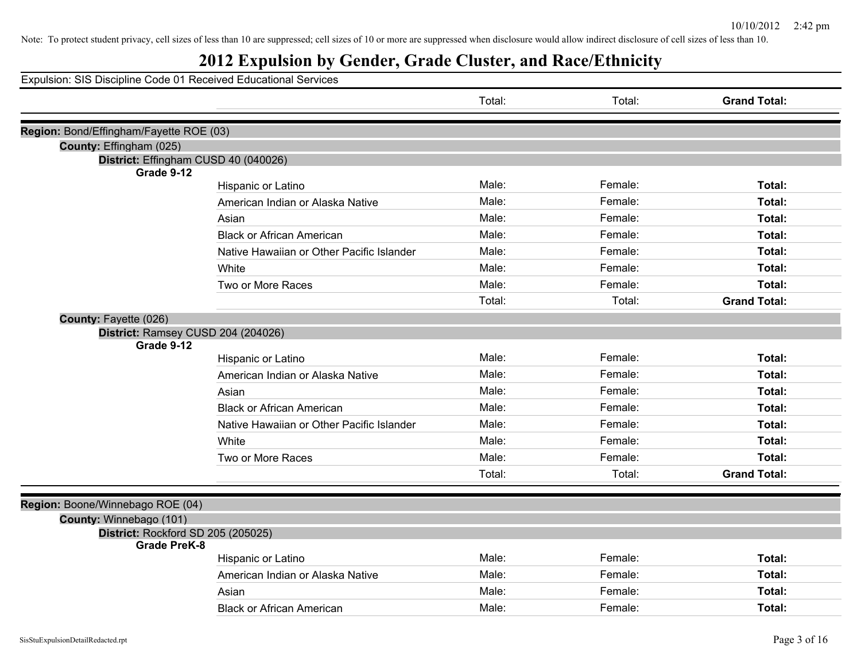| Expulsion: SIS Discipline Code 01 Received Educational Services         |  |
|-------------------------------------------------------------------------|--|
| Total:<br>Total:<br><b>Grand Total:</b>                                 |  |
| Region: Bond/Effingham/Fayette ROE (03)                                 |  |
| County: Effingham (025)                                                 |  |
| District: Effingham CUSD 40 (040026)                                    |  |
| Grade 9-12                                                              |  |
| Male:<br>Female:<br>Total:<br>Hispanic or Latino                        |  |
| Male:<br>Female:<br>Total:<br>American Indian or Alaska Native          |  |
| Male:<br>Female:<br>Total:<br>Asian                                     |  |
| Male:<br>Female:<br>Total:<br><b>Black or African American</b>          |  |
| Male:<br>Female:<br>Total:<br>Native Hawaiian or Other Pacific Islander |  |
| Male:<br>Female:<br>Total:<br>White                                     |  |
| Male:<br>Female:<br>Total:<br>Two or More Races                         |  |
| <b>Grand Total:</b><br>Total:<br>Total:                                 |  |
| County: Fayette (026)                                                   |  |
| District: Ramsey CUSD 204 (204026)                                      |  |
| Grade 9-12                                                              |  |
| Male:<br>Female:<br>Total:<br>Hispanic or Latino                        |  |
| Male:<br>Female:<br>Total:<br>American Indian or Alaska Native          |  |
| Male:<br>Female:<br>Total:<br>Asian                                     |  |
| Male:<br>Female:<br>Total:<br><b>Black or African American</b>          |  |
| Male:<br>Female:<br>Total:<br>Native Hawaiian or Other Pacific Islander |  |
| Male:<br>Female:<br>Total:<br>White                                     |  |
| Male:<br>Female:<br>Total:<br>Two or More Races                         |  |
| <b>Grand Total:</b><br>Total:<br>Total:                                 |  |
|                                                                         |  |
| Region: Boone/Winnebago ROE (04)                                        |  |
| County: Winnebago (101)                                                 |  |
| District: Rockford SD 205 (205025)<br><b>Grade PreK-8</b>               |  |
| Male:<br>Female:<br>Total:<br>Hispanic or Latino                        |  |
| Male:<br>Female:<br>Total:<br>American Indian or Alaska Native          |  |
| Male:<br>Female:<br>Total:<br>Asian                                     |  |
| Male:<br>Female:<br>Total:<br><b>Black or African American</b>          |  |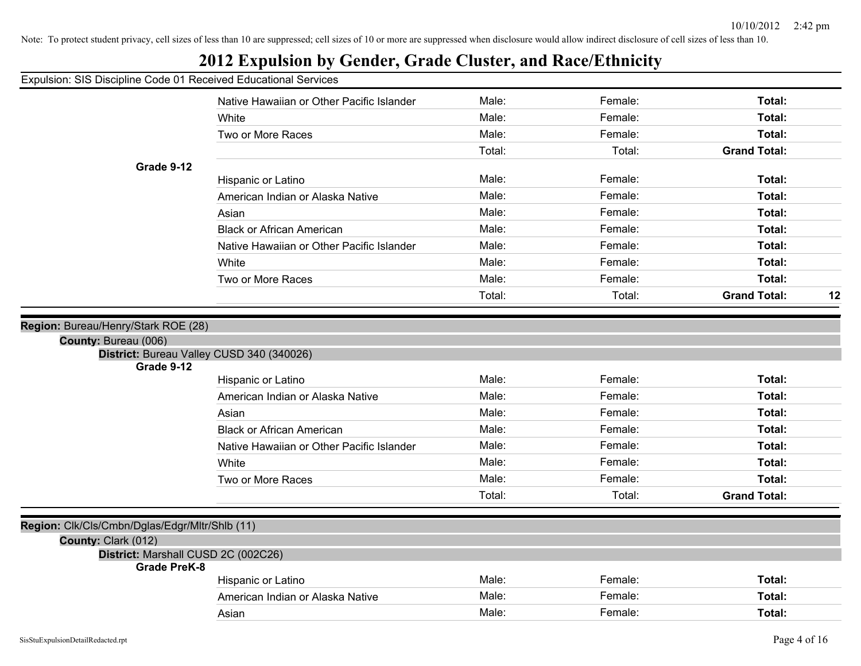#### Expulsion: SIS Discipline Code 01 Received Educational Services Native Hawaiian or Other Pacific Islander **Male:** Female: Female: **Total:** Total: White **Total:** Male: Female: **Total:** Female: **Total:** Female: Total: Two or More Races **Total: Total: Male: Total: Total: Total: Total: Total: Total: Total: Total: Total: Total: Total: Total: Total: Total: Total: Total: Total: Total: Total: Total:** Total: Total: **Grand Total: Grade 9-12** Hispanic or Latino **Male:** Male: **Female:** Female: **Total:** Total: American Indian or Alaska Native **Male:** Male: Total: Female: Total: Total: Total: Asian **Male: Total: Propose Assume Male: Total: Total: Total: Total: Total: Total: Total: Total: Total: Total: Total: Total: Total: Total: Total: Total: Total: Total: Total: Tota** Black or African American Male: Female: **Total:** Native Hawaiian or Other Pacific Islander **Male:** Female: Female: Total: White **Total:** Male: Female: **Total:** Female: **Total:** Female: Total: Two or More Races Male: Female: **Total:** Total: Total: **Grand Total: 12 Region:** Bureau/Henry/Stark ROE (28) **County:** Bureau (006) **District:** Bureau Valley CUSD 340 (340026) **Grade 9-12** Hispanic or Latino **Male:** Male: **Female:** Female: **Total:** Total: American Indian or Alaska Native **Male:** Male: Total: Female: Total: Total: Total: Asian **Male: Total: Propose Assume Male: Total: Total: Total: Total: Total: Total: Total: Total: Total: Total: Total: Total: Total: Total: Total: Total: Total: Total: Total: Tota** Black or African American Male: Female: **Total:** Native Hawaiian or Other Pacific Islander **Male:** Total: Female: Total: Total: White **Total:** Male: Female: **Total:** Female: **Total:** Female: Total: Two or More Races **Total: Male:** Female: **Female: Total: Total: Total: Total: Total: Total: Total: Total: Total: Total: Total: Total: Total: Total: Total: Total: Total: Total: Total:** Total: Total: **Grand Total: Region:** Clk/Cls/Cmbn/Dglas/Edgr/Mltr/Shlb (11) **County:** Clark (012) **District:** Marshall CUSD 2C (002C26) **Grade PreK-8** Hispanic or Latino **Male:** Male: **Female:** Female: **Total:** Total: American Indian or Alaska Native **Male:** Male: Female: Female: Total: Asian Male: Female: **Total:**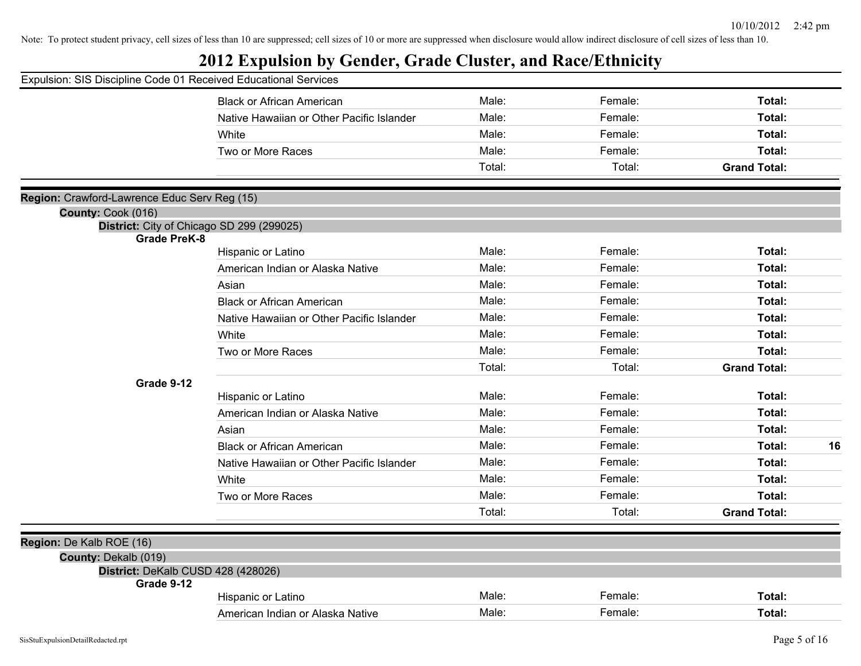| Expulsion: SIS Discipline Code 01 Received Educational Services |                                           |        |         |                     |
|-----------------------------------------------------------------|-------------------------------------------|--------|---------|---------------------|
|                                                                 | <b>Black or African American</b>          | Male:  | Female: | Total:              |
|                                                                 | Native Hawaiian or Other Pacific Islander | Male:  | Female: | Total:              |
|                                                                 | White                                     | Male:  | Female: | Total:              |
|                                                                 | Two or More Races                         | Male:  | Female: | <b>Total:</b>       |
|                                                                 |                                           | Total: | Total:  | <b>Grand Total:</b> |
| Region: Crawford-Lawrence Educ Serv Reg (15)                    |                                           |        |         |                     |
| County: Cook (016)                                              |                                           |        |         |                     |
|                                                                 | District: City of Chicago SD 299 (299025) |        |         |                     |
| <b>Grade PreK-8</b>                                             | Hispanic or Latino                        | Male:  | Female: | Total:              |
|                                                                 | American Indian or Alaska Native          | Male:  | Female: | Total:              |
|                                                                 | Asian                                     | Male:  | Female: | Total:              |
|                                                                 | <b>Black or African American</b>          | Male:  | Female: | Total:              |
|                                                                 | Native Hawaiian or Other Pacific Islander | Male:  | Female: | Total:              |
|                                                                 | White                                     | Male:  | Female: | Total:              |
|                                                                 | Two or More Races                         | Male:  | Female: | Total:              |
|                                                                 |                                           | Total: | Total:  | <b>Grand Total:</b> |
| Grade 9-12                                                      |                                           |        |         |                     |
|                                                                 | Hispanic or Latino                        | Male:  | Female: | Total:              |
|                                                                 | American Indian or Alaska Native          | Male:  | Female: | <b>Total:</b>       |
|                                                                 | Asian                                     | Male:  | Female: | Total:              |
|                                                                 | <b>Black or African American</b>          | Male:  | Female: | Total:<br>16        |
|                                                                 | Native Hawaiian or Other Pacific Islander | Male:  | Female: | <b>Total:</b>       |
|                                                                 | White                                     | Male:  | Female: | <b>Total:</b>       |
|                                                                 | Two or More Races                         | Male:  | Female: | Total:              |
|                                                                 |                                           | Total: | Total:  | <b>Grand Total:</b> |
| Region: De Kalb ROE (16)                                        |                                           |        |         |                     |
| County: Dekalb (019)                                            |                                           |        |         |                     |
| District: DeKalb CUSD 428 (428026)<br>Grade 9-12                |                                           |        |         |                     |
|                                                                 | Hispanic or Latino                        | Male:  | Female: | <b>Total:</b>       |
|                                                                 | American Indian or Alaska Native          | Male:  | Female: | Total:              |
|                                                                 |                                           |        |         |                     |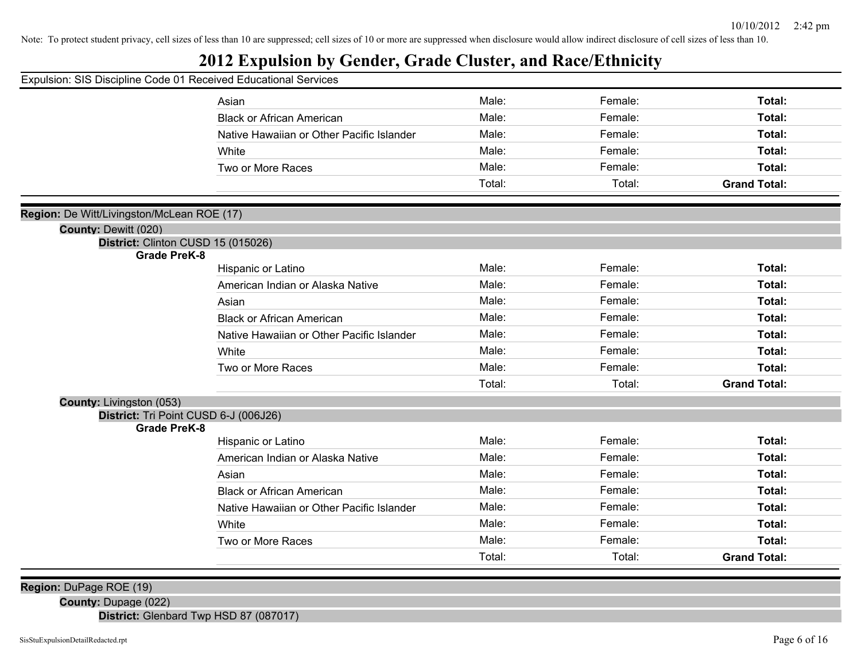# **2012 Expulsion by Gender, Grade Cluster, and Race/Ethnicity**

| Male:<br>Female:<br>Total:<br>Asian<br>Male:<br>Female:<br>Total:<br><b>Black or African American</b><br>Male:<br>Female:<br>Total:<br>Native Hawaiian or Other Pacific Islander<br>Male:<br>Female:<br>Total:<br>White<br>Male:<br>Female:<br>Total:<br>Two or More Races<br>Total:<br>Total:<br><b>Grand Total:</b><br>Region: De Witt/Livingston/McLean ROE (17)<br>County: Dewitt (020)<br>District: Clinton CUSD 15 (015026)<br><b>Grade PreK-8</b><br>Male:<br>Female:<br>Total:<br>Hispanic or Latino<br>Male:<br>Female:<br>American Indian or Alaska Native<br>Total:<br>Male:<br>Female:<br>Total:<br>Asian<br>Male:<br>Female:<br>Total:<br><b>Black or African American</b><br>Male:<br>Female:<br>Total:<br>Native Hawaiian or Other Pacific Islander<br>Male:<br>Female:<br>Total:<br>White<br>Male:<br>Female:<br>Two or More Races<br>Total:<br>Total:<br>Total:<br><b>Grand Total:</b><br><b>County: Livingston (053)</b><br>District: Tri Point CUSD 6-J (006J26)<br><b>Grade PreK-8</b><br>Male:<br>Female:<br>Total:<br>Hispanic or Latino<br>Male:<br>Female:<br>Total:<br>American Indian or Alaska Native<br>Male:<br>Female:<br>Total:<br>Asian<br>Male:<br>Female:<br>Total:<br><b>Black or African American</b><br>Male:<br>Female:<br>Native Hawaiian or Other Pacific Islander<br>Total:<br>Male:<br>Female:<br>Total:<br>White | Expulsion: SIS Discipline Code 01 Received Educational Services |  |  |
|-------------------------------------------------------------------------------------------------------------------------------------------------------------------------------------------------------------------------------------------------------------------------------------------------------------------------------------------------------------------------------------------------------------------------------------------------------------------------------------------------------------------------------------------------------------------------------------------------------------------------------------------------------------------------------------------------------------------------------------------------------------------------------------------------------------------------------------------------------------------------------------------------------------------------------------------------------------------------------------------------------------------------------------------------------------------------------------------------------------------------------------------------------------------------------------------------------------------------------------------------------------------------------------------------------------------------------------------------------------|-----------------------------------------------------------------|--|--|
|                                                                                                                                                                                                                                                                                                                                                                                                                                                                                                                                                                                                                                                                                                                                                                                                                                                                                                                                                                                                                                                                                                                                                                                                                                                                                                                                                             |                                                                 |  |  |
|                                                                                                                                                                                                                                                                                                                                                                                                                                                                                                                                                                                                                                                                                                                                                                                                                                                                                                                                                                                                                                                                                                                                                                                                                                                                                                                                                             |                                                                 |  |  |
|                                                                                                                                                                                                                                                                                                                                                                                                                                                                                                                                                                                                                                                                                                                                                                                                                                                                                                                                                                                                                                                                                                                                                                                                                                                                                                                                                             |                                                                 |  |  |
|                                                                                                                                                                                                                                                                                                                                                                                                                                                                                                                                                                                                                                                                                                                                                                                                                                                                                                                                                                                                                                                                                                                                                                                                                                                                                                                                                             |                                                                 |  |  |
|                                                                                                                                                                                                                                                                                                                                                                                                                                                                                                                                                                                                                                                                                                                                                                                                                                                                                                                                                                                                                                                                                                                                                                                                                                                                                                                                                             |                                                                 |  |  |
|                                                                                                                                                                                                                                                                                                                                                                                                                                                                                                                                                                                                                                                                                                                                                                                                                                                                                                                                                                                                                                                                                                                                                                                                                                                                                                                                                             |                                                                 |  |  |
|                                                                                                                                                                                                                                                                                                                                                                                                                                                                                                                                                                                                                                                                                                                                                                                                                                                                                                                                                                                                                                                                                                                                                                                                                                                                                                                                                             |                                                                 |  |  |
|                                                                                                                                                                                                                                                                                                                                                                                                                                                                                                                                                                                                                                                                                                                                                                                                                                                                                                                                                                                                                                                                                                                                                                                                                                                                                                                                                             |                                                                 |  |  |
|                                                                                                                                                                                                                                                                                                                                                                                                                                                                                                                                                                                                                                                                                                                                                                                                                                                                                                                                                                                                                                                                                                                                                                                                                                                                                                                                                             |                                                                 |  |  |
|                                                                                                                                                                                                                                                                                                                                                                                                                                                                                                                                                                                                                                                                                                                                                                                                                                                                                                                                                                                                                                                                                                                                                                                                                                                                                                                                                             |                                                                 |  |  |
|                                                                                                                                                                                                                                                                                                                                                                                                                                                                                                                                                                                                                                                                                                                                                                                                                                                                                                                                                                                                                                                                                                                                                                                                                                                                                                                                                             |                                                                 |  |  |
|                                                                                                                                                                                                                                                                                                                                                                                                                                                                                                                                                                                                                                                                                                                                                                                                                                                                                                                                                                                                                                                                                                                                                                                                                                                                                                                                                             |                                                                 |  |  |
|                                                                                                                                                                                                                                                                                                                                                                                                                                                                                                                                                                                                                                                                                                                                                                                                                                                                                                                                                                                                                                                                                                                                                                                                                                                                                                                                                             |                                                                 |  |  |
|                                                                                                                                                                                                                                                                                                                                                                                                                                                                                                                                                                                                                                                                                                                                                                                                                                                                                                                                                                                                                                                                                                                                                                                                                                                                                                                                                             |                                                                 |  |  |
|                                                                                                                                                                                                                                                                                                                                                                                                                                                                                                                                                                                                                                                                                                                                                                                                                                                                                                                                                                                                                                                                                                                                                                                                                                                                                                                                                             |                                                                 |  |  |
|                                                                                                                                                                                                                                                                                                                                                                                                                                                                                                                                                                                                                                                                                                                                                                                                                                                                                                                                                                                                                                                                                                                                                                                                                                                                                                                                                             |                                                                 |  |  |
|                                                                                                                                                                                                                                                                                                                                                                                                                                                                                                                                                                                                                                                                                                                                                                                                                                                                                                                                                                                                                                                                                                                                                                                                                                                                                                                                                             |                                                                 |  |  |
|                                                                                                                                                                                                                                                                                                                                                                                                                                                                                                                                                                                                                                                                                                                                                                                                                                                                                                                                                                                                                                                                                                                                                                                                                                                                                                                                                             |                                                                 |  |  |
|                                                                                                                                                                                                                                                                                                                                                                                                                                                                                                                                                                                                                                                                                                                                                                                                                                                                                                                                                                                                                                                                                                                                                                                                                                                                                                                                                             |                                                                 |  |  |
|                                                                                                                                                                                                                                                                                                                                                                                                                                                                                                                                                                                                                                                                                                                                                                                                                                                                                                                                                                                                                                                                                                                                                                                                                                                                                                                                                             |                                                                 |  |  |
|                                                                                                                                                                                                                                                                                                                                                                                                                                                                                                                                                                                                                                                                                                                                                                                                                                                                                                                                                                                                                                                                                                                                                                                                                                                                                                                                                             |                                                                 |  |  |
|                                                                                                                                                                                                                                                                                                                                                                                                                                                                                                                                                                                                                                                                                                                                                                                                                                                                                                                                                                                                                                                                                                                                                                                                                                                                                                                                                             |                                                                 |  |  |
|                                                                                                                                                                                                                                                                                                                                                                                                                                                                                                                                                                                                                                                                                                                                                                                                                                                                                                                                                                                                                                                                                                                                                                                                                                                                                                                                                             |                                                                 |  |  |
|                                                                                                                                                                                                                                                                                                                                                                                                                                                                                                                                                                                                                                                                                                                                                                                                                                                                                                                                                                                                                                                                                                                                                                                                                                                                                                                                                             |                                                                 |  |  |
|                                                                                                                                                                                                                                                                                                                                                                                                                                                                                                                                                                                                                                                                                                                                                                                                                                                                                                                                                                                                                                                                                                                                                                                                                                                                                                                                                             |                                                                 |  |  |
|                                                                                                                                                                                                                                                                                                                                                                                                                                                                                                                                                                                                                                                                                                                                                                                                                                                                                                                                                                                                                                                                                                                                                                                                                                                                                                                                                             |                                                                 |  |  |
|                                                                                                                                                                                                                                                                                                                                                                                                                                                                                                                                                                                                                                                                                                                                                                                                                                                                                                                                                                                                                                                                                                                                                                                                                                                                                                                                                             |                                                                 |  |  |
| Male:<br>Female:<br>Total:<br>Two or More Races                                                                                                                                                                                                                                                                                                                                                                                                                                                                                                                                                                                                                                                                                                                                                                                                                                                                                                                                                                                                                                                                                                                                                                                                                                                                                                             |                                                                 |  |  |
| Total:<br><b>Grand Total:</b><br>Total:                                                                                                                                                                                                                                                                                                                                                                                                                                                                                                                                                                                                                                                                                                                                                                                                                                                                                                                                                                                                                                                                                                                                                                                                                                                                                                                     |                                                                 |  |  |

**Region:** DuPage ROE (19)

**County:** Dupage (022)

**District:** Glenbard Twp HSD 87 (087017)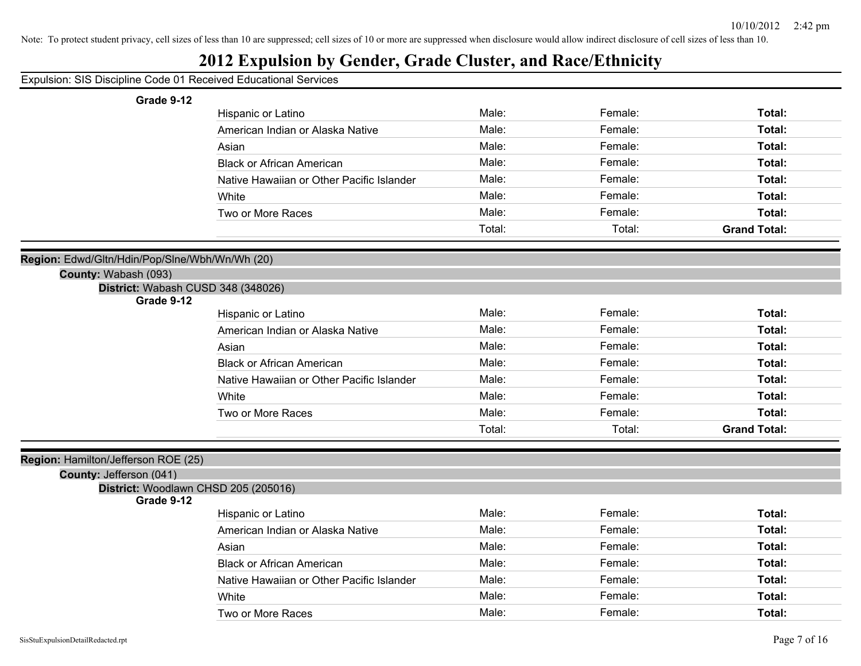| Expulsion: SIS Discipline Code 01 Received Educational Services |                                           |        |         |                     |
|-----------------------------------------------------------------|-------------------------------------------|--------|---------|---------------------|
| Grade 9-12                                                      |                                           |        |         |                     |
|                                                                 | Hispanic or Latino                        | Male:  | Female: | Total:              |
|                                                                 | American Indian or Alaska Native          | Male:  | Female: | Total:              |
|                                                                 | Asian                                     | Male:  | Female: | Total:              |
|                                                                 | <b>Black or African American</b>          | Male:  | Female: | Total:              |
|                                                                 | Native Hawaiian or Other Pacific Islander | Male:  | Female: | Total:              |
|                                                                 | White                                     | Male:  | Female: | Total:              |
|                                                                 | Two or More Races                         | Male:  | Female: | Total:              |
|                                                                 |                                           | Total: | Total:  | <b>Grand Total:</b> |
|                                                                 |                                           |        |         |                     |
| Region: Edwd/Gltn/Hdin/Pop/Slne/Wbh/Wn/Wh (20)                  |                                           |        |         |                     |
| County: Wabash (093)                                            |                                           |        |         |                     |
| District: Wabash CUSD 348 (348026)<br>Grade 9-12                |                                           |        |         |                     |
|                                                                 | Hispanic or Latino                        | Male:  | Female: | Total:              |
|                                                                 | American Indian or Alaska Native          | Male:  | Female: | Total:              |
|                                                                 | Asian                                     | Male:  | Female: | Total:              |
|                                                                 | <b>Black or African American</b>          | Male:  | Female: | Total:              |
|                                                                 | Native Hawaiian or Other Pacific Islander | Male:  | Female: | Total:              |
|                                                                 | White                                     | Male:  | Female: | Total:              |
|                                                                 | Two or More Races                         | Male:  | Female: | Total:              |
|                                                                 |                                           | Total: | Total:  | <b>Grand Total:</b> |
|                                                                 |                                           |        |         |                     |
| Region: Hamilton/Jefferson ROE (25)                             |                                           |        |         |                     |
| County: Jefferson (041)                                         |                                           |        |         |                     |
| District: Woodlawn CHSD 205 (205016)<br>Grade 9-12              |                                           |        |         |                     |
|                                                                 | Hispanic or Latino                        | Male:  | Female: | Total:              |
|                                                                 | American Indian or Alaska Native          | Male:  | Female: | Total:              |
|                                                                 | Asian                                     | Male:  | Female: | Total:              |
|                                                                 | <b>Black or African American</b>          | Male:  | Female: | Total:              |
|                                                                 | Native Hawaiian or Other Pacific Islander | Male:  | Female: | Total:              |
|                                                                 | White                                     | Male:  | Female: | Total:              |
|                                                                 | Two or More Races                         | Male:  | Female: | Total:              |
|                                                                 |                                           |        |         |                     |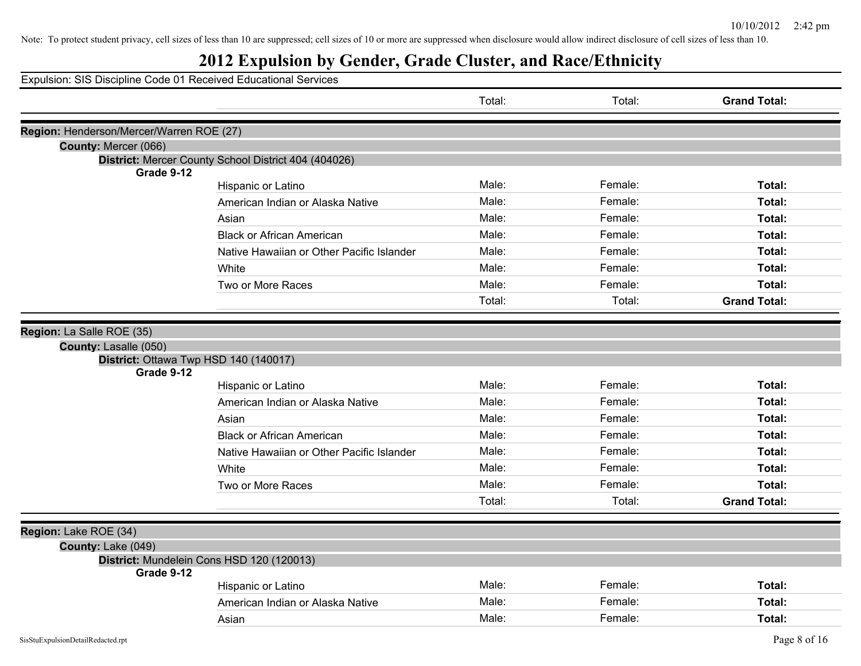| Expulsion: SIS Discipline Code 01 Received Educational Services |                                                      |        |         |                     |
|-----------------------------------------------------------------|------------------------------------------------------|--------|---------|---------------------|
|                                                                 |                                                      | Total: | Total:  | <b>Grand Total:</b> |
| Region: Henderson/Mercer/Warren ROE (27)                        |                                                      |        |         |                     |
| County: Mercer (066)                                            |                                                      |        |         |                     |
|                                                                 | District: Mercer County School District 404 (404026) |        |         |                     |
| Grade 9-12                                                      |                                                      | Male:  |         |                     |
|                                                                 | Hispanic or Latino                                   |        | Female: | Total:              |
|                                                                 | American Indian or Alaska Native                     | Male:  | Female: | Total:              |
|                                                                 | Asian                                                | Male:  | Female: | Total:              |
|                                                                 | <b>Black or African American</b>                     | Male:  | Female: | Total:              |
|                                                                 | Native Hawaiian or Other Pacific Islander            | Male:  | Female: | Total:              |
|                                                                 | White                                                | Male:  | Female: | Total:              |
|                                                                 | Two or More Races                                    | Male:  | Female: | Total:              |
|                                                                 |                                                      | Total: | Total:  | <b>Grand Total:</b> |
| Region: La Salle ROE (35)                                       |                                                      |        |         |                     |
| County: Lasalle (050)                                           |                                                      |        |         |                     |
| District: Ottawa Twp HSD 140 (140017)                           |                                                      |        |         |                     |
| Grade 9-12                                                      |                                                      |        |         |                     |
|                                                                 | Hispanic or Latino                                   | Male:  | Female: | Total:              |
|                                                                 | American Indian or Alaska Native                     | Male:  | Female: | Total:              |
|                                                                 | Asian                                                | Male:  | Female: | Total:              |
|                                                                 | <b>Black or African American</b>                     | Male:  | Female: | Total:              |
|                                                                 | Native Hawaiian or Other Pacific Islander            | Male:  | Female: | Total:              |
|                                                                 | White                                                | Male:  | Female: | Total:              |
|                                                                 | Two or More Races                                    | Male:  | Female: | Total:              |
|                                                                 |                                                      | Total: | Total:  | <b>Grand Total:</b> |
|                                                                 |                                                      |        |         |                     |
| Region: Lake ROE (34)                                           |                                                      |        |         |                     |
| County: Lake (049)<br>District: Mundelein Cons HSD 120 (120013) |                                                      |        |         |                     |
| Grade 9-12                                                      |                                                      |        |         |                     |
|                                                                 |                                                      | Male:  | Female: | Total:              |
|                                                                 | Hispanic or Latino                                   |        |         |                     |
|                                                                 | American Indian or Alaska Native                     | Male:  | Female: | Total:              |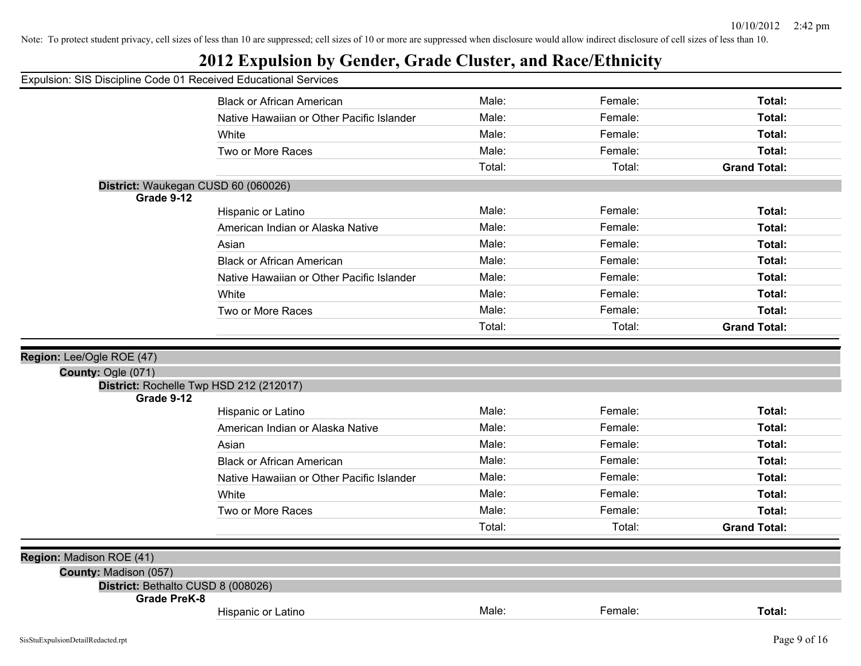# **2012 Expulsion by Gender, Grade Cluster, and Race/Ethnicity**

|                                                       | <b>Black or African American</b>          | Male:  | Female: | Total:              |
|-------------------------------------------------------|-------------------------------------------|--------|---------|---------------------|
|                                                       | Native Hawaiian or Other Pacific Islander | Male:  | Female: | Total:              |
|                                                       | White                                     | Male:  | Female: | Total:              |
|                                                       | Two or More Races                         | Male:  | Female: | Total:              |
|                                                       |                                           | Total: | Total:  | <b>Grand Total:</b> |
| District: Waukegan CUSD 60 (060026)                   |                                           |        |         |                     |
| Grade 9-12                                            |                                           |        |         |                     |
|                                                       | Hispanic or Latino                        | Male:  | Female: | Total:              |
|                                                       | American Indian or Alaska Native          | Male:  | Female: | Total:              |
|                                                       | Asian                                     | Male:  | Female: | Total:              |
|                                                       | <b>Black or African American</b>          | Male:  | Female: | Total:              |
|                                                       | Native Hawaiian or Other Pacific Islander | Male:  | Female: | Total:              |
|                                                       | White                                     | Male:  | Female: | Total:              |
|                                                       | Two or More Races                         | Male:  | Female: | Total:              |
|                                                       |                                           | Total: | Total:  | <b>Grand Total:</b> |
|                                                       |                                           |        |         |                     |
| Region: Lee/Ogle ROE (47)                             |                                           |        |         |                     |
| County: Ogle (071)                                    |                                           |        |         |                     |
| District: Rochelle Twp HSD 212 (212017)<br>Grade 9-12 |                                           |        |         |                     |
|                                                       | Hispanic or Latino                        | Male:  | Female: | Total:              |
|                                                       | American Indian or Alaska Native          | Male:  | Female: | Total:              |
|                                                       | Asian                                     | Male:  | Female: | Total:              |
|                                                       | <b>Black or African American</b>          | Male:  | Female: | Total:              |
|                                                       | Native Hawaiian or Other Pacific Islander | Male:  | Female: | Total:              |
|                                                       | White                                     | Male:  | Female: | Total:              |
|                                                       | Two or More Races                         | Male:  | Female: | Total:              |
|                                                       |                                           |        |         |                     |
|                                                       |                                           | Total: | Total:  | <b>Grand Total:</b> |
|                                                       |                                           |        |         |                     |
| Region: Madison ROE (41)                              |                                           |        |         |                     |
| County: Madison (057)                                 |                                           |        |         |                     |
| District: Bethalto CUSD 8 (008026)                    |                                           |        |         |                     |
| Grade PreK-8                                          | Hispanic or Latino                        | Male:  | Female: | Total:              |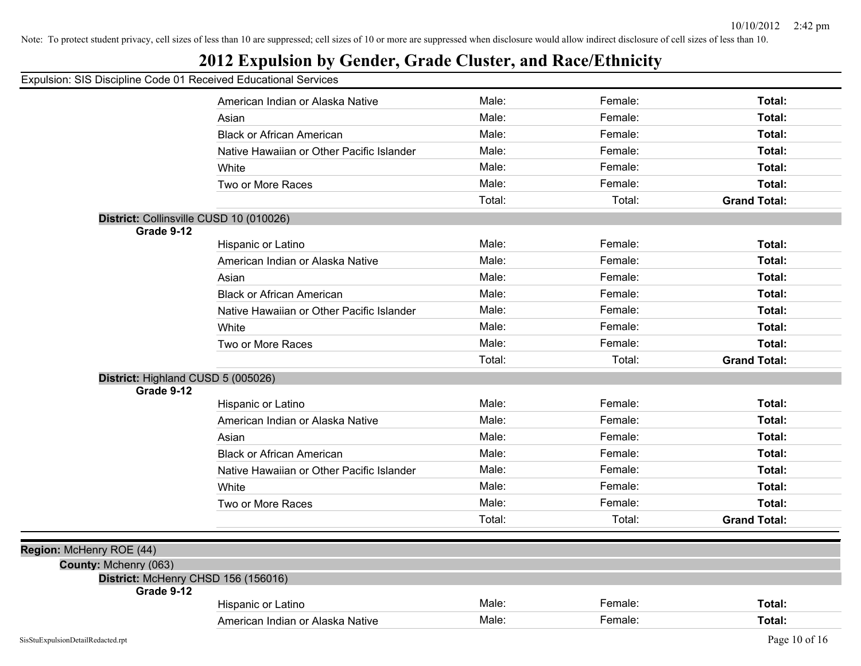|  |  | Expulsion: SIS Discipline Code 01 Received Educational Services |  |
|--|--|-----------------------------------------------------------------|--|
|  |  |                                                                 |  |

|                                     | American Indian or Alaska Native          | Male:  | Female: | Total:              |
|-------------------------------------|-------------------------------------------|--------|---------|---------------------|
|                                     | Asian                                     | Male:  | Female: | Total:              |
|                                     | <b>Black or African American</b>          | Male:  | Female: | Total:              |
|                                     | Native Hawaiian or Other Pacific Islander | Male:  | Female: | Total:              |
|                                     | White                                     | Male:  | Female: | Total:              |
|                                     | Two or More Races                         | Male:  | Female: | Total:              |
|                                     |                                           | Total: | Total:  | <b>Grand Total:</b> |
|                                     | District: Collinsville CUSD 10 (010026)   |        |         |                     |
| Grade 9-12                          |                                           |        |         |                     |
|                                     | Hispanic or Latino                        | Male:  | Female: | Total:              |
|                                     | American Indian or Alaska Native          | Male:  | Female: | Total:              |
|                                     | Asian                                     | Male:  | Female: | Total:              |
|                                     | <b>Black or African American</b>          | Male:  | Female: | Total:              |
|                                     | Native Hawaiian or Other Pacific Islander | Male:  | Female: | Total:              |
|                                     | White                                     | Male:  | Female: | Total:              |
|                                     | Two or More Races                         | Male:  | Female: | Total:              |
|                                     |                                           | Total: | Total:  | <b>Grand Total:</b> |
|                                     | District: Highland CUSD 5 (005026)        |        |         |                     |
| Grade 9-12                          |                                           |        |         |                     |
|                                     | Hispanic or Latino                        | Male:  | Female: | Total:              |
|                                     | American Indian or Alaska Native          | Male:  | Female: | Total:              |
|                                     | Asian                                     | Male:  | Female: | Total:              |
|                                     | <b>Black or African American</b>          | Male:  | Female: | Total:              |
|                                     | Native Hawaiian or Other Pacific Islander | Male:  | Female: | Total:              |
|                                     | White                                     | Male:  | Female: | Total:              |
|                                     | Two or More Races                         | Male:  | Female: | Total:              |
|                                     |                                           | Total: | Total:  | <b>Grand Total:</b> |
|                                     |                                           |        |         |                     |
| Region: McHenry ROE (44)            |                                           |        |         |                     |
| County: Mchenry (063)<br>Grade 9-12 | District: McHenry CHSD 156 (156016)       |        |         |                     |
|                                     | Hispanic or Latino                        | Male:  | Female: | Total:              |
|                                     | American Indian or Alaska Native          | Male:  | Female: | Total:              |
| SisStuExpulsionDetailRedacted.rpt   |                                           |        |         | Page 10 of 16       |
|                                     |                                           |        |         |                     |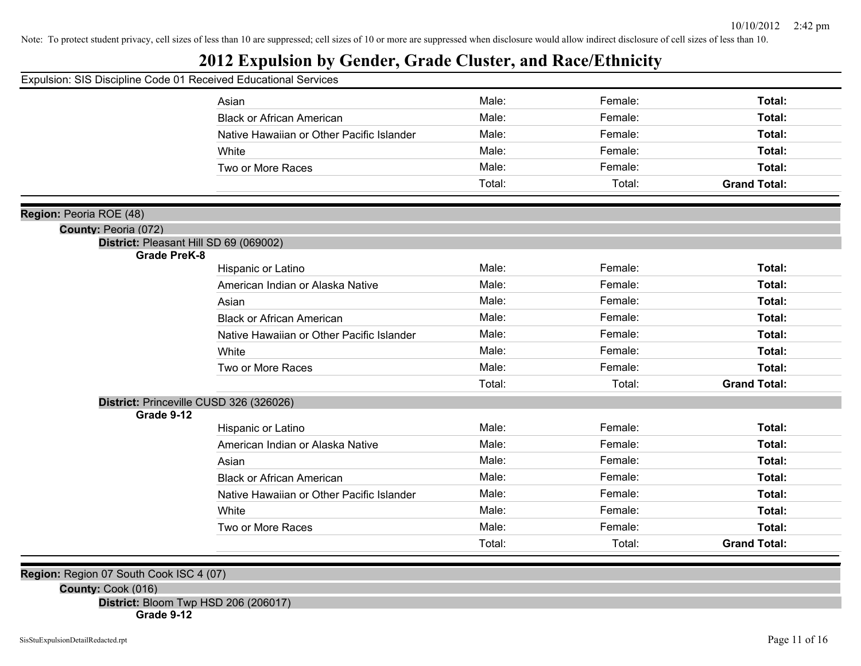# **2012 Expulsion by Gender, Grade Cluster, and Race/Ethnicity**

| Expulsion: SIS Discipline Code 01 Received Educational Services |                                           |        |         |                     |
|-----------------------------------------------------------------|-------------------------------------------|--------|---------|---------------------|
|                                                                 | Asian                                     | Male:  | Female: | Total:              |
|                                                                 | <b>Black or African American</b>          | Male:  | Female: | Total:              |
|                                                                 | Native Hawaiian or Other Pacific Islander | Male:  | Female: | Total:              |
|                                                                 | White                                     | Male:  | Female: | Total:              |
|                                                                 | Two or More Races                         | Male:  | Female: | Total:              |
|                                                                 |                                           | Total: | Total:  | <b>Grand Total:</b> |
| Region: Peoria ROE (48)                                         |                                           |        |         |                     |
| <b>County: Peoria (072)</b>                                     |                                           |        |         |                     |
| District: Pleasant Hill SD 69 (069002)                          |                                           |        |         |                     |
| <b>Grade PreK-8</b>                                             |                                           |        |         |                     |
|                                                                 | Hispanic or Latino                        | Male:  | Female: | Total:              |
|                                                                 | American Indian or Alaska Native          | Male:  | Female: | Total:              |
|                                                                 | Asian                                     | Male:  | Female: | Total:              |
|                                                                 | <b>Black or African American</b>          | Male:  | Female: | Total:              |
|                                                                 | Native Hawaiian or Other Pacific Islander | Male:  | Female: | Total:              |
|                                                                 | White                                     | Male:  | Female: | Total:              |
|                                                                 | Two or More Races                         | Male:  | Female: | Total:              |
|                                                                 |                                           | Total: | Total:  | <b>Grand Total:</b> |
| District: Princeville CUSD 326 (326026)                         |                                           |        |         |                     |
| Grade 9-12                                                      |                                           |        |         |                     |
|                                                                 | Hispanic or Latino                        | Male:  | Female: | Total:              |
|                                                                 | American Indian or Alaska Native          | Male:  | Female: | Total:              |
|                                                                 | Asian                                     | Male:  | Female: | Total:              |
|                                                                 | <b>Black or African American</b>          | Male:  | Female: | Total:              |
|                                                                 | Native Hawaiian or Other Pacific Islander | Male:  | Female: | Total:              |
|                                                                 | White                                     | Male:  | Female: | Total:              |
|                                                                 | Two or More Races                         | Male:  | Female: | Total:              |
|                                                                 |                                           | Total: | Total:  | <b>Grand Total:</b> |

**Region:** Region 07 South Cook ISC 4 (07)

**County:** Cook (016)

**District:** Bloom Twp HSD 206 (206017)

**Grade 9-12**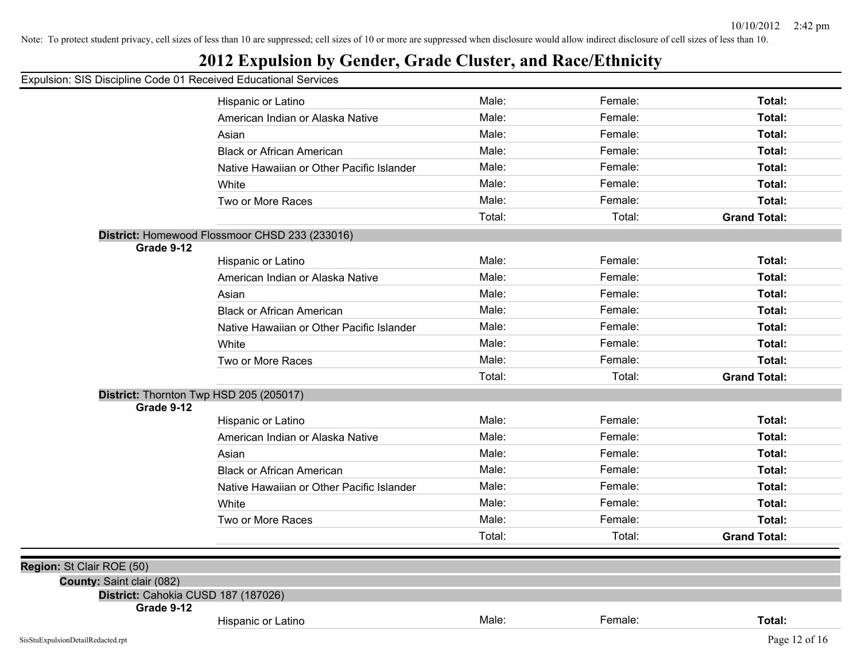# **2012 Expulsion by Gender, Grade Cluster, and Race/Ethnicity**

|                                                                  | Hispanic or Latino                             | Male:  | Female: | Total:              |
|------------------------------------------------------------------|------------------------------------------------|--------|---------|---------------------|
|                                                                  | American Indian or Alaska Native               | Male:  | Female: | Total:              |
|                                                                  | Asian                                          | Male:  | Female: | Total:              |
|                                                                  | <b>Black or African American</b>               | Male:  | Female: | Total:              |
|                                                                  | Native Hawaiian or Other Pacific Islander      | Male:  | Female: | Total:              |
|                                                                  | White                                          | Male:  | Female: | Total:              |
|                                                                  | Two or More Races                              | Male:  | Female: | Total:              |
|                                                                  |                                                | Total: | Total:  | <b>Grand Total:</b> |
|                                                                  | District: Homewood Flossmoor CHSD 233 (233016) |        |         |                     |
| Grade 9-12                                                       |                                                |        |         |                     |
|                                                                  | Hispanic or Latino                             | Male:  | Female: | Total:              |
|                                                                  | American Indian or Alaska Native               | Male:  | Female: | Total:              |
|                                                                  | Asian                                          | Male:  | Female: | Total:              |
|                                                                  | <b>Black or African American</b>               | Male:  | Female: | Total:              |
|                                                                  | Native Hawaiian or Other Pacific Islander      | Male:  | Female: | Total:              |
|                                                                  | White                                          | Male:  | Female: | Total:              |
|                                                                  | Two or More Races                              | Male:  | Female: | Total:              |
|                                                                  |                                                | Total: | Total:  | <b>Grand Total:</b> |
|                                                                  | District: Thornton Twp HSD 205 (205017)        |        |         |                     |
| Grade 9-12                                                       |                                                |        |         |                     |
|                                                                  | Hispanic or Latino                             | Male:  | Female: | Total:              |
|                                                                  | American Indian or Alaska Native               | Male:  | Female: | Total:              |
|                                                                  | Asian                                          | Male:  | Female: | Total:              |
|                                                                  | <b>Black or African American</b>               | Male:  | Female: | Total:              |
|                                                                  | Native Hawaiian or Other Pacific Islander      | Male:  | Female: | Total:              |
|                                                                  | White                                          | Male:  | Female: | Total:              |
|                                                                  | Two or More Races                              | Male:  | Female: | Total:              |
|                                                                  |                                                | Total: | Total:  | <b>Grand Total:</b> |
|                                                                  |                                                |        |         |                     |
| Region: St Clair ROE (50)                                        |                                                |        |         |                     |
| County: Saint clair (082)<br>District: Cahokia CUSD 187 (187026) |                                                |        |         |                     |
| Grade 9-12                                                       |                                                |        |         |                     |
|                                                                  | Hispanic or Latino                             | Male:  | Female: | Total:              |
| SisStuExpulsionDetailRedacted.rpt                                |                                                |        |         | Page 12 of 16       |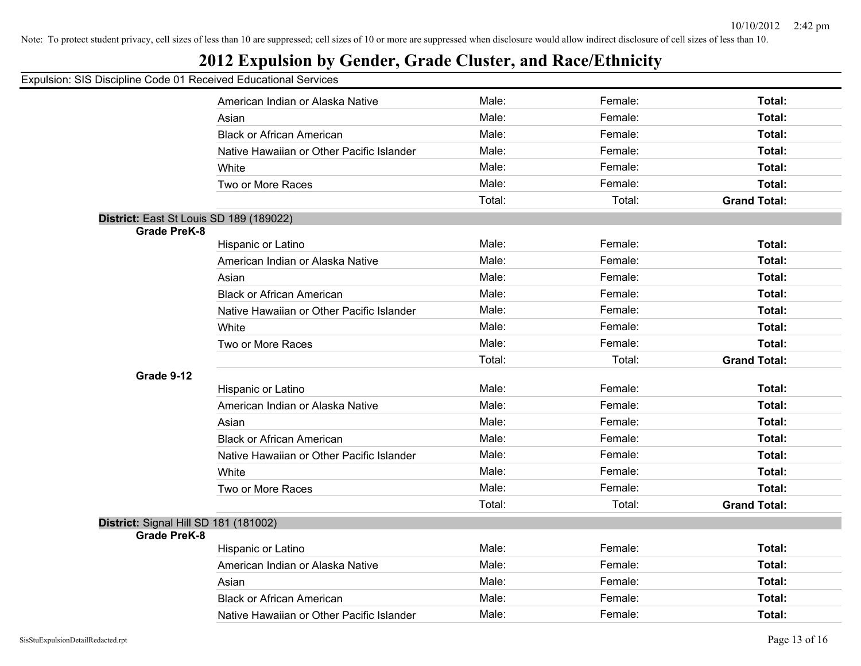# **2012 Expulsion by Gender, Grade Cluster, and Race/Ethnicity**

|                                         | American Indian or Alaska Native          | Male:  | Female: | Total:              |
|-----------------------------------------|-------------------------------------------|--------|---------|---------------------|
|                                         | Asian                                     | Male:  | Female: | Total:              |
|                                         | <b>Black or African American</b>          | Male:  | Female: | Total:              |
|                                         | Native Hawaiian or Other Pacific Islander | Male:  | Female: | Total:              |
|                                         | White                                     | Male:  | Female: | Total:              |
|                                         | Two or More Races                         | Male:  | Female: | Total:              |
|                                         |                                           | Total: | Total:  | <b>Grand Total:</b> |
| District: East St Louis SD 189 (189022) |                                           |        |         |                     |
| <b>Grade PreK-8</b>                     |                                           |        |         |                     |
|                                         | Hispanic or Latino                        | Male:  | Female: | Total:              |
|                                         | American Indian or Alaska Native          | Male:  | Female: | Total:              |
|                                         | Asian                                     | Male:  | Female: | Total:              |
|                                         | <b>Black or African American</b>          | Male:  | Female: | Total:              |
|                                         | Native Hawaiian or Other Pacific Islander | Male:  | Female: | Total:              |
|                                         | White                                     | Male:  | Female: | Total:              |
|                                         | Two or More Races                         | Male:  | Female: | Total:              |
|                                         |                                           | Total: | Total:  | <b>Grand Total:</b> |
| Grade 9-12                              |                                           |        |         |                     |
|                                         | Hispanic or Latino                        | Male:  | Female: | Total:              |
|                                         | American Indian or Alaska Native          | Male:  | Female: | Total:              |
|                                         | Asian                                     | Male:  | Female: | Total:              |
|                                         | <b>Black or African American</b>          | Male:  | Female: | Total:              |
|                                         | Native Hawaiian or Other Pacific Islander | Male:  | Female: | Total:              |
|                                         | White                                     | Male:  | Female: | Total:              |
|                                         | Two or More Races                         | Male:  | Female: | Total:              |
|                                         |                                           | Total: | Total:  | <b>Grand Total:</b> |
| District: Signal Hill SD 181 (181002)   |                                           |        |         |                     |
| <b>Grade PreK-8</b>                     |                                           |        |         |                     |
|                                         | Hispanic or Latino                        | Male:  | Female: | Total:              |
|                                         | American Indian or Alaska Native          | Male:  | Female: | Total:              |
|                                         | Asian                                     | Male:  | Female: | Total:              |
|                                         | <b>Black or African American</b>          | Male:  | Female: | Total:              |
|                                         | Native Hawaiian or Other Pacific Islander | Male:  | Female: | Total:              |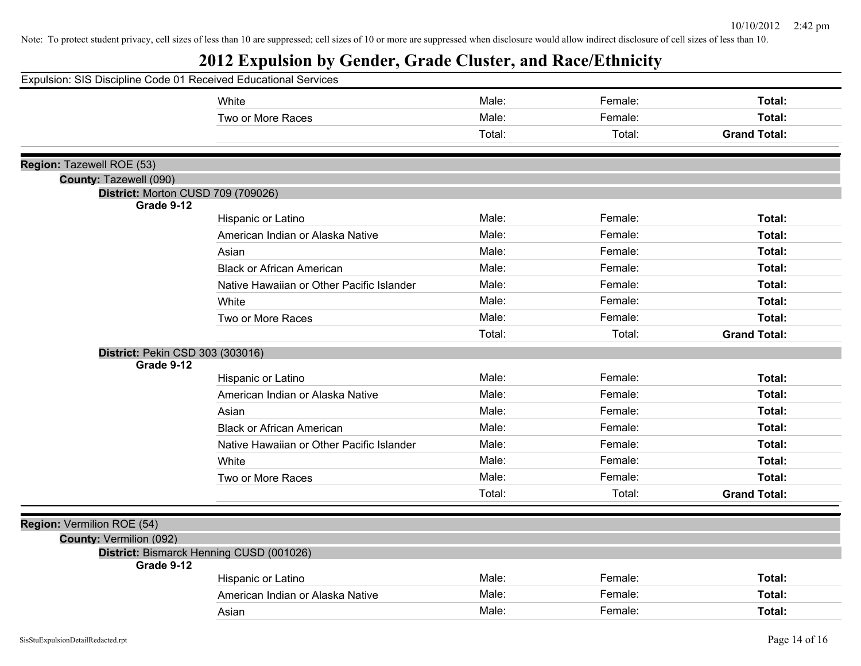| Expulsion: SIS Discipline Code 01 Received Educational Services |                                           |        |         |                     |
|-----------------------------------------------------------------|-------------------------------------------|--------|---------|---------------------|
|                                                                 | White                                     | Male:  | Female: | Total:              |
|                                                                 | Two or More Races                         | Male:  | Female: | Total:              |
|                                                                 |                                           | Total: | Total:  | <b>Grand Total:</b> |
|                                                                 |                                           |        |         |                     |
| Region: Tazewell ROE (53)                                       |                                           |        |         |                     |
| County: Tazewell (090)                                          |                                           |        |         |                     |
| District: Morton CUSD 709 (709026)<br>Grade 9-12                |                                           |        |         |                     |
|                                                                 | Hispanic or Latino                        | Male:  | Female: | Total:              |
|                                                                 | American Indian or Alaska Native          | Male:  | Female: | Total:              |
|                                                                 | Asian                                     | Male:  | Female: | Total:              |
|                                                                 | <b>Black or African American</b>          | Male:  | Female: | Total:              |
|                                                                 | Native Hawaiian or Other Pacific Islander | Male:  | Female: | Total:              |
|                                                                 | White                                     | Male:  | Female: | Total:              |
|                                                                 | Two or More Races                         | Male:  | Female: | Total:              |
|                                                                 |                                           | Total: | Total:  | <b>Grand Total:</b> |
| <b>District: Pekin CSD 303 (303016)</b>                         |                                           |        |         |                     |
| Grade 9-12                                                      |                                           |        |         |                     |
|                                                                 | Hispanic or Latino                        | Male:  | Female: | Total:              |
|                                                                 | American Indian or Alaska Native          | Male:  | Female: | Total:              |
|                                                                 | Asian                                     | Male:  | Female: | Total:              |
|                                                                 | <b>Black or African American</b>          | Male:  | Female: | Total:              |
|                                                                 | Native Hawaiian or Other Pacific Islander | Male:  | Female: | Total:              |
|                                                                 | White                                     | Male:  | Female: | Total:              |
|                                                                 | Two or More Races                         | Male:  | Female: | Total:              |
|                                                                 |                                           | Total: | Total:  | <b>Grand Total:</b> |
|                                                                 |                                           |        |         |                     |
| Region: Vermilion ROE (54)<br><b>County: Vermilion (092)</b>    |                                           |        |         |                     |
|                                                                 | District: Bismarck Henning CUSD (001026)  |        |         |                     |
| Grade 9-12                                                      |                                           |        |         |                     |
|                                                                 | Hispanic or Latino                        | Male:  | Female: | Total:              |
|                                                                 | American Indian or Alaska Native          | Male:  | Female: | Total:              |
|                                                                 | Asian                                     | Male:  | Female: | Total:              |
|                                                                 |                                           |        |         |                     |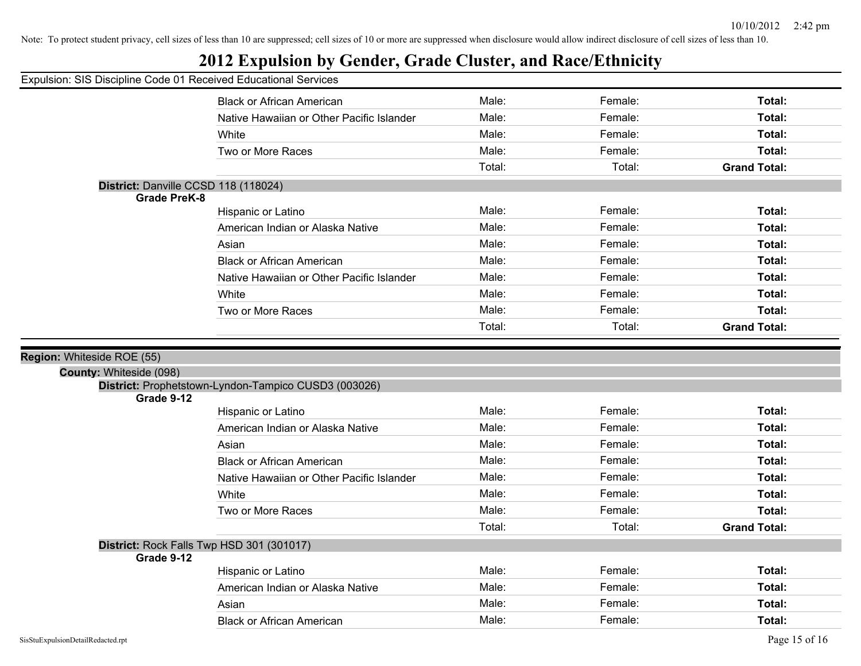# **2012 Expulsion by Gender, Grade Cluster, and Race/Ethnicity**

#### Expulsion: SIS Discipline Code 01 Received Educational Services

|                         | <b>Black or African American</b>                     | Male:  | Female: | Total:              |
|-------------------------|------------------------------------------------------|--------|---------|---------------------|
|                         | Native Hawaiian or Other Pacific Islander            | Male:  | Female: | <b>Total:</b>       |
|                         | White                                                | Male:  | Female: | Total:              |
|                         | Two or More Races                                    | Male:  | Female: | <b>Total:</b>       |
|                         |                                                      | Total: | Total:  | <b>Grand Total:</b> |
|                         | District: Danville CCSD 118 (118024)                 |        |         |                     |
| <b>Grade PreK-8</b>     |                                                      |        |         |                     |
|                         | Hispanic or Latino                                   | Male:  | Female: | <b>Total:</b>       |
|                         | American Indian or Alaska Native                     | Male:  | Female: | <b>Total:</b>       |
|                         | Asian                                                | Male:  | Female: | <b>Total:</b>       |
|                         | <b>Black or African American</b>                     | Male:  | Female: | <b>Total:</b>       |
|                         | Native Hawaiian or Other Pacific Islander            | Male:  | Female: | <b>Total:</b>       |
|                         | White                                                | Male:  | Female: | <b>Total:</b>       |
|                         | Two or More Races                                    | Male:  | Female: | <b>Total:</b>       |
|                         |                                                      | Total: | Total:  | <b>Grand Total:</b> |
| on: Whiteside ROE (55)  |                                                      |        |         |                     |
| County: Whiteside (098) |                                                      |        |         |                     |
|                         | District: Prophetstown-Lyndon-Tampico CUSD3 (003026) |        |         |                     |
| Grade 9-12              |                                                      |        |         |                     |
|                         | Hispanic or Latino                                   | Male:  | Female: | Total:              |
|                         | American Indian or Alaska Native                     | Male:  | Female: | <b>Total:</b>       |
|                         | Asian                                                | Male:  | Female: | <b>Total:</b>       |
|                         | <b>Black or African American</b>                     | Male:  | Female: | Total:              |
|                         | Native Hawaiian or Other Pacific Islander            | Male:  | Female: | <b>Total:</b>       |
|                         | White                                                | Male:  | Female: | <b>Total:</b>       |
|                         | Two or More Races                                    | Male:  | Female: | <b>Total:</b>       |
|                         |                                                      | Total: | Total:  | <b>Grand Total:</b> |
|                         | District: Rock Falls Twp HSD 301 (301017)            |        |         |                     |
| Grade 9-12              |                                                      |        |         |                     |
|                         | Hispanic or Latino                                   | Male:  | Female: | <b>Total:</b>       |
|                         | American Indian or Alaska Native                     | Male:  | Female: | <b>Total:</b>       |
|                         | Asian                                                | Male:  | Female: | <b>Total:</b>       |
|                         | <b>Black or African American</b>                     | Male:  | Female: | Total:              |

**Regi**